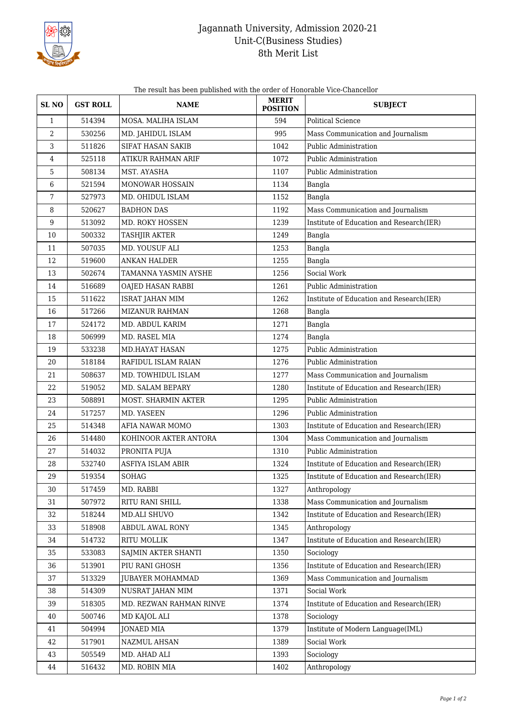

## Jagannath University, Admission 2020-21 Unit-C(Business Studies) 8th Merit List

The result has been published with the order of Honorable Vice-Chancellor

| SL <sub>NO</sub> | <b>GST ROLL</b> | <b>NAME</b>               | <b>MERIT</b><br><b>POSITION</b> | <b>SUBJECT</b>                           |
|------------------|-----------------|---------------------------|---------------------------------|------------------------------------------|
| $\mathbf{1}$     | 514394          | MOSA. MALIHA ISLAM        | 594                             | <b>Political Science</b>                 |
| 2                | 530256          | MD. JAHIDUL ISLAM         | 995                             | Mass Communication and Journalism        |
| 3                | 511826          | SIFAT HASAN SAKIB         | 1042                            | Public Administration                    |
| 4                | 525118          | <b>ATIKUR RAHMAN ARIF</b> | 1072                            | Public Administration                    |
| 5                | 508134          | MST. AYASHA               | 1107                            | Public Administration                    |
| 6                | 521594          | MONOWAR HOSSAIN           | 1134                            | Bangla                                   |
| 7                | 527973          | MD. OHIDUL ISLAM          | 1152                            | Bangla                                   |
| 8                | 520627          | <b>BADHON DAS</b>         | 1192                            | Mass Communication and Journalism        |
| 9                | 513092          | MD. ROKY HOSSEN           | 1239                            | Institute of Education and Research(IER) |
| 10               | 500332          | <b>TASHJIR AKTER</b>      | 1249                            | Bangla                                   |
| 11               | 507035          | MD. YOUSUF ALI            | 1253                            | Bangla                                   |
| 12               | 519600          | <b>ANKAN HALDER</b>       | 1255                            | Bangla                                   |
| 13               | 502674          | TAMANNA YASMIN AYSHE      | 1256                            | Social Work                              |
| 14               | 516689          | OAJED HASAN RABBI         | 1261                            | Public Administration                    |
| 15               | 511622          | <b>ISRAT JAHAN MIM</b>    | 1262                            | Institute of Education and Research(IER) |
| 16               | 517266          | <b>MIZANUR RAHMAN</b>     | 1268                            | Bangla                                   |
| 17               | 524172          | MD. ABDUL KARIM           | 1271                            | Bangla                                   |
| 18               | 506999          | MD. RASEL MIA             | 1274                            | Bangla                                   |
| 19               | 533238          | <b>MD.HAYAT HASAN</b>     | 1275                            | Public Administration                    |
| 20               | 518184          | RAFIDUL ISLAM RAIAN       | 1276                            | Public Administration                    |
| 21               | 508637          | MD. TOWHIDUL ISLAM        | 1277                            | Mass Communication and Journalism        |
| 22               | 519052          | MD. SALAM BEPARY          | 1280                            | Institute of Education and Research(IER) |
| 23               | 508891          | MOST. SHARMIN AKTER       | 1295                            | Public Administration                    |
| 24               | 517257          | MD. YASEEN                | 1296                            | Public Administration                    |
| 25               | 514348          | AFIA NAWAR MOMO           | 1303                            | Institute of Education and Research(IER) |
| 26               | 514480          | KOHINOOR AKTER ANTORA     | 1304                            | Mass Communication and Journalism        |
| 27               | 514032          | PRONITA PUJA              | 1310                            | Public Administration                    |
| 28               | 532740          | ASFIYA ISLAM ABIR         | 1324                            | Institute of Education and Research(IER) |
| 29               | 519354          | SOHAG                     | 1325                            | Institute of Education and Research(IER) |
| 30               | 517459          | MD. RABBI                 | 1327                            | Anthropology                             |
| 31               | 507972          | RITU RANI SHILL           | 1338                            | Mass Communication and Journalism        |
| 32               | 518244          | MD.ALI SHUVO              | 1342                            | Institute of Education and Research(IER) |
| 33               | 518908          | ABDUL AWAL RONY           | 1345                            | Anthropology                             |
| 34               | 514732          | RITU MOLLIK               | 1347                            | Institute of Education and Research(IER) |
| 35               | 533083          | SAJMIN AKTER SHANTI       | 1350                            | Sociology                                |
| 36               | 513901          | PIU RANI GHOSH            | 1356                            | Institute of Education and Research(IER) |
| 37               | 513329          | <b>JUBAYER MOHAMMAD</b>   | 1369                            | Mass Communication and Journalism        |
| 38               | 514309          | NUSRAT JAHAN MIM          | 1371                            | Social Work                              |
| 39               | 518305          | MD. REZWAN RAHMAN RINVE   | 1374                            | Institute of Education and Research(IER) |
| 40               | 500746          | MD KAJOL ALI              | 1378                            | Sociology                                |
| 41               | 504994          | <b>JONAED MIA</b>         | 1379                            | Institute of Modern Language(IML)        |
| 42               | 517901          | NAZMUL AHSAN              | 1389                            | Social Work                              |
| 43               | 505549          | MD. AHAD ALI              | 1393                            | Sociology                                |
| 44               | 516432          | MD. ROBIN MIA             | 1402                            | Anthropology                             |